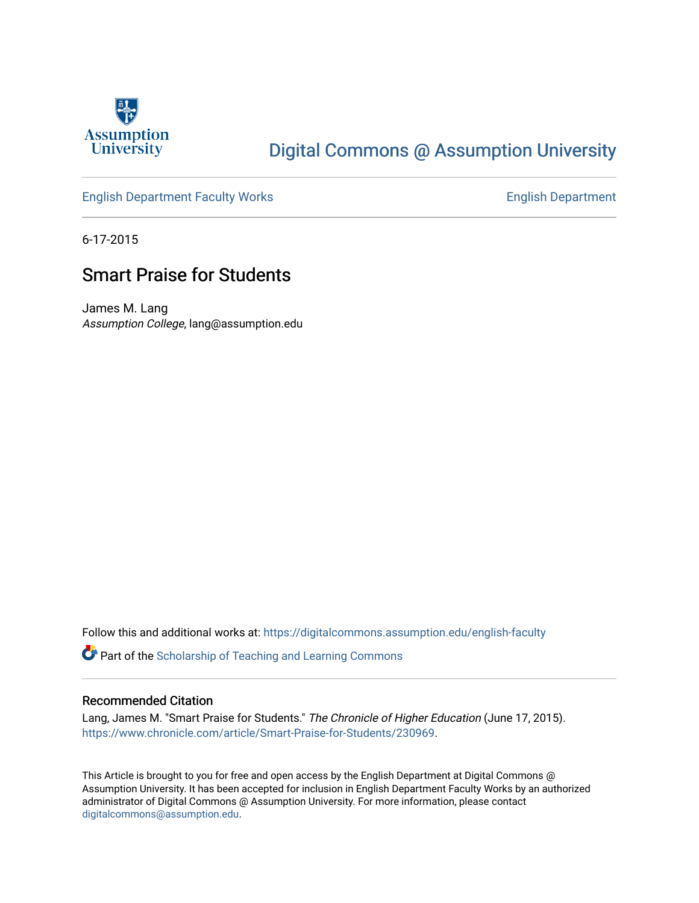

## [Digital Commons @ Assumption University](https://digitalcommons.assumption.edu/)

### [English Department Faculty Works](https://digitalcommons.assumption.edu/english-faculty) **English Department**

6-17-2015

## Smart Praise for Students

James M. Lang Assumption College, lang@assumption.edu

Follow this and additional works at: [https://digitalcommons.assumption.edu/english-faculty](https://digitalcommons.assumption.edu/english-faculty?utm_source=digitalcommons.assumption.edu%2Fenglish-faculty%2F39&utm_medium=PDF&utm_campaign=PDFCoverPages) 

**P** Part of the Scholarship of Teaching and Learning Commons

#### Recommended Citation

Lang, James M. "Smart Praise for Students." The Chronicle of Higher Education (June 17, 2015). [https://www.chronicle.com/article/Smart-Praise-for-Students/230969.](https://www.chronicle.com/article/Smart-Praise-for-Students/230969)

This Article is brought to you for free and open access by the English Department at Digital Commons @ Assumption University. It has been accepted for inclusion in English Department Faculty Works by an authorized administrator of Digital Commons @ Assumption University. For more information, please contact [digitalcommons@assumption.edu](mailto:digitalcommons@assumption.edu).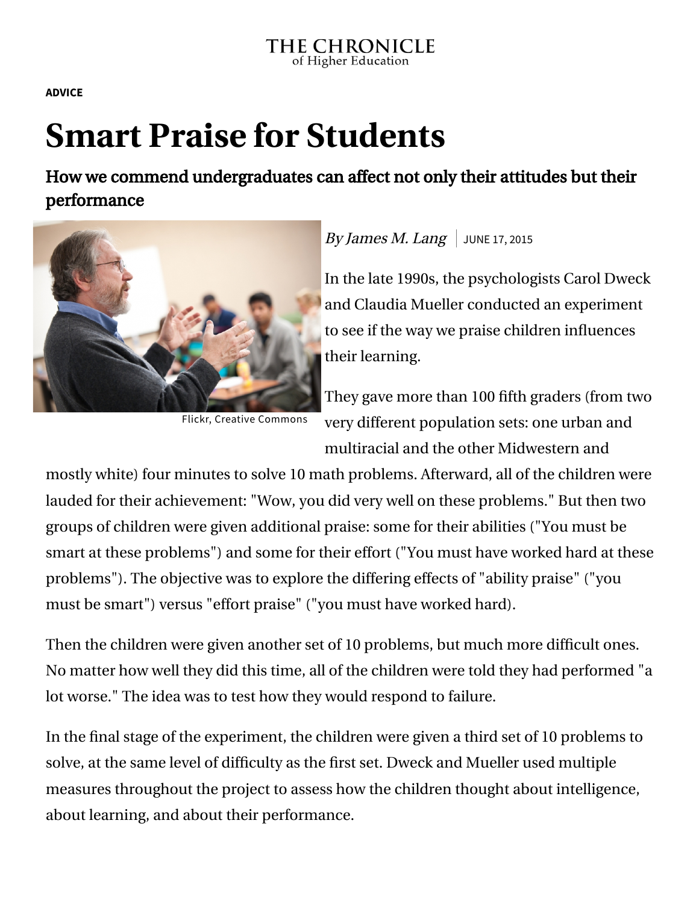**[ADVICE](https://www.chronicle.com/section/Advice/66)**

# **Smart Praise for Students**

How we commend undergraduates can affect not only their attitudes but their performance



Flickr, Creative [Commons](https://www.flickr.com/photos/jeremywilburn/5430585805/)

## By James M. Lang JUNE 17, 2015

In the late 1990s, the psychologists Carol Dweck and Claudia Mueller conducted an experiment to see if the way we praise children influences their learning.

They gave more than 100 fifth graders (from two very different population sets: one urban and multiracial and the other Midwestern and

mostly white) four minutes to solve 10 math problems. Afterward, all of the children were lauded for their achievement: "Wow, you did very well on these problems." But then two groups of children were given additional praise: some for their abilities ("You must be smart at these problems") and some for their effort ("You must have worked hard at these problems"). The objective was to explore the differing effects of "ability praise" ("you must be smart") versus "effort praise" ("you must have worked hard).

Then the children were given another set of 10 problems, but much more difficult ones. No matter how well they did this time, all of the children were told they had performed "a lot worse." The idea was to test how they would respond to failure.

In the final stage of the experiment, the children were given a third set of 10 problems to solve, at the same level of difficulty as the first set. Dweck and Mueller used multiple measures throughout the project to assess how the children thought about intelligence, about learning, and about their performance.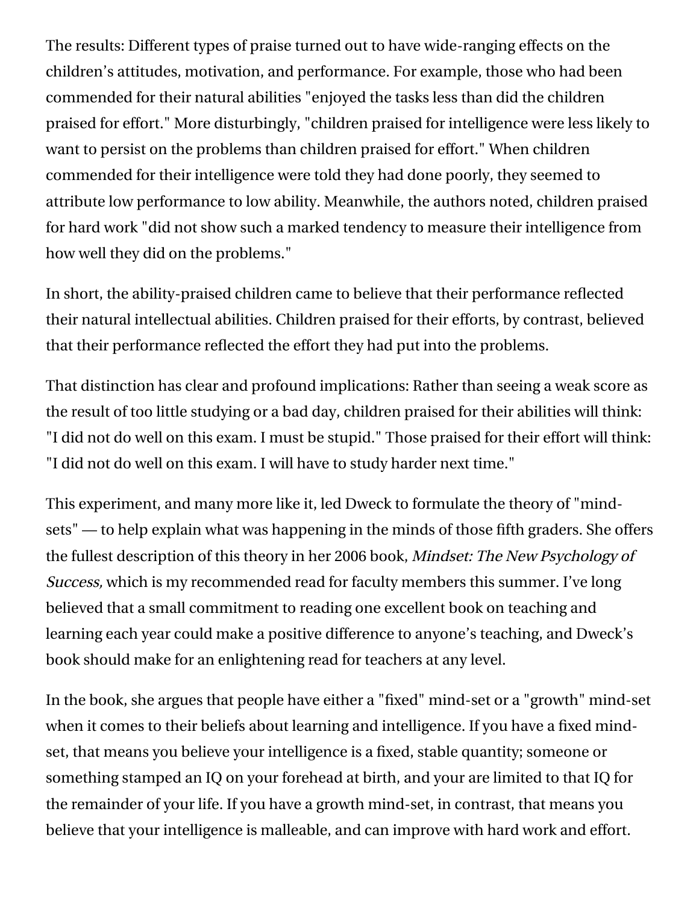The results: Different types of praise turned out to have wide-ranging effects on the children's attitudes, motivation, and performance. For example, those who had been commended for their natural abilities "enjoyed the tasks less than did the children praised for effort." More disturbingly, "children praised for intelligence were less likely to want to persist on the problems than children praised for effort." When children commended for their intelligence were told they had done poorly, they seemed to attribute low performance to low ability. Meanwhile, the authors noted, children praised for hard work "did not show such a marked tendency to measure their intelligence from how well they did on the problems."

In short, the ability-praised children came to believe that their performance reflected their natural intellectual abilities. Children praised for their efforts, by contrast, believed that their performance reflected the effort they had put into the problems.

That distinction has clear and profound implications: Rather than seeing a weak score as the result of too little studying or a bad day, children praised for their abilities will think: "I did not do well on this exam. I must be stupid." Those praised for their effort will think: "I did not do well on this exam. I will have to study harder next time."

This experiment, and many more like it, led Dweck to formulate the theory of "mind[sets" — to help explain what was happening in the minds of those fifth graders. She of](http://mindsetonline.com/)fers the fullest description of this theory in her 2006 book, Mindset: The New Psychology of Success, which is my recommended read for faculty members this summer. I've long believed that a small commitment to reading one excellent book on teaching and learning each year could make a positive difference to anyone's teaching, and Dweck's book should make for an enlightening read for teachers at any level.

In the book, she argues that people have either a "fixed" mind-set or a "growth" mind-set when it comes to their beliefs about learning and intelligence. If you have a fixed mindset, that means you believe your intelligence is a fixed, stable quantity; someone or something stamped an IQ on your forehead at birth, and your are limited to that IQ for the remainder of your life. If you have a growth mind-set, in contrast, that means you believe that your intelligence is malleable, and can improve with hard work and effort.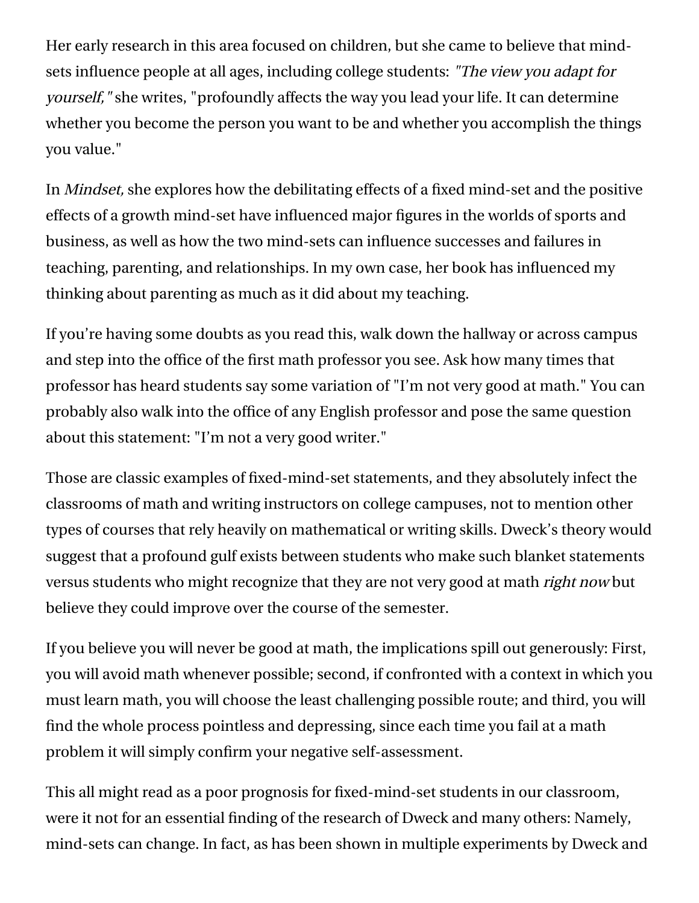Her early research in this area focused on children, but she came to believe that mindsets influence people at all ages, including college students: "The view you adapt for yourself," she writes, "profoundly affects the way you lead your life. It can determine whether you become the person you want to be and whether you accomplish the things you value."

In Mindset, she explores how the debilitating effects of a fixed mind-set and the positive effects of a growth mind-set have influenced major figures in the worlds of sports and business, as well as how the two mind-sets can influence successes and failures in teaching, parenting, and relationships. In my own case, her book has influenced my thinking about parenting as much as it did about my teaching.

If you're having some doubts as you read this, walk down the hallway or across campus and step into the office of the first math professor you see. Ask how many times that professor has heard students say some variation of "I'm not very good at math." You can probably also walk into the office of any English professor and pose the same question about this statement: "I'm not a very good writer."

Those are classic examples of fixed-mind-set statements, and they absolutely infect the classrooms of math and writing instructors on college campuses, not to mention other types of courses that rely heavily on mathematical or writing skills. Dweck's theory would suggest that a profound gulf exists between students who make such blanket statements versus students who might recognize that they are not very good at math *right now* but believe they could improve over the course of the semester.

If you believe you will never be good at math, the implications spill out generously: First, you will avoid math whenever possible; second, if confronted with a context in which you must learn math, you will choose the least challenging possible route; and third, you will find the whole process pointless and depressing, since each time you fail at a math problem it will simply confirm your negative self-assessment.

This all might read as a poor prognosis for fixed-mind-set students in our classroom, were it not for an essential finding of the research of Dweck and many others: Namely, mind-sets can change. In fact, as has been shown in multiple experiments by Dweck and